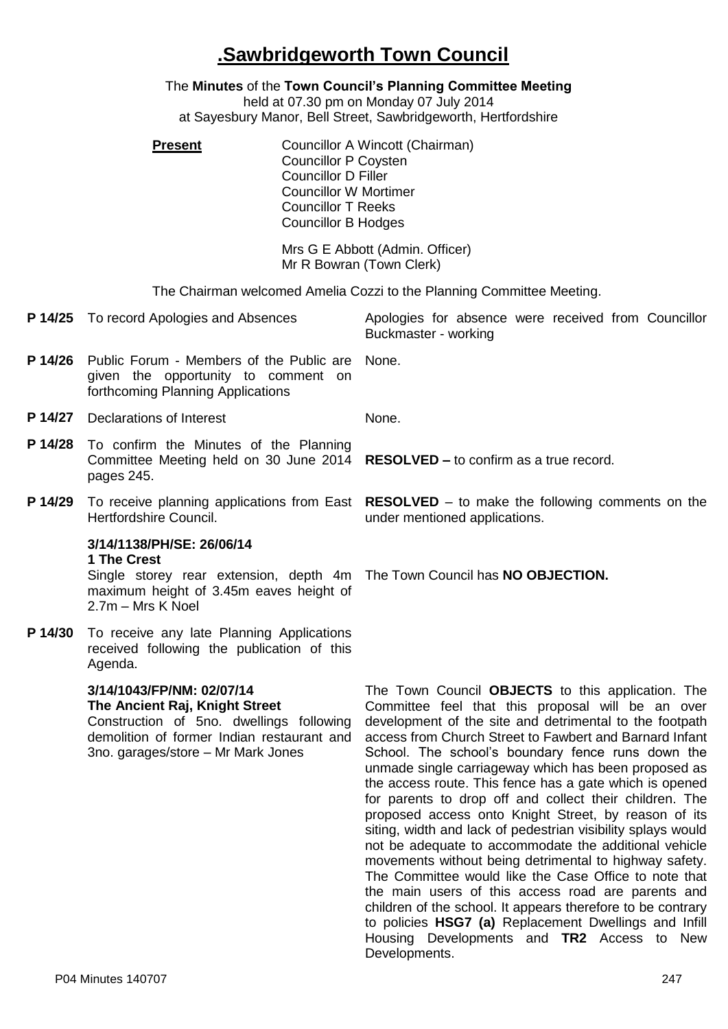## **.Sawbridgeworth Town Council**

## The **Minutes** of the **Town Council's Planning Committee Meeting**

held at 07.30 pm on Monday 07 July 2014

at Sayesbury Manor, Bell Street, Sawbridgeworth, Hertfordshire

**Present Councillor A Wincott (Chairman)** Councillor P Coysten Councillor D Filler Councillor W Mortimer Councillor T Reeks Councillor B Hodges

> Mrs G E Abbott (Admin. Officer) Mr R Bowran (Town Clerk)

The Chairman welcomed Amelia Cozzi to the Planning Committee Meeting.

**P 14/25** To record Apologies and Absences Apologies for absence were received from Councillor Buckmaster - working **P 14/26** Public Forum - Members of the Public are given the opportunity to comment on forthcoming Planning Applications None. **P 14/27** Declarations of Interest None. **P 14/28** To confirm the Minutes of the Planning Committee Meeting held on 30 June 2014 pages 245. **RESOLVED –** to confirm as a true record. **P 14/29** To receive planning applications from East **RESOLVED** – to make the following comments on the Hertfordshire Council. under mentioned applications. **3/14/1138/PH/SE: 26/06/14 1 The Crest** Single storey rear extension, depth 4m The Town Council has **NO OBJECTION.** maximum height of 3.45m eaves height of 2.7m – Mrs K Noel **P 14/30** To receive any late Planning Applications received following the publication of this Agenda. **3/14/1043/FP/NM: 02/07/14 The Ancient Raj, Knight Street** Construction of 5no. dwellings following demolition of former Indian restaurant and 3no. garages/store – Mr Mark Jones The Town Council **OBJECTS** to this application. The Committee feel that this proposal will be an over development of the site and detrimental to the footpath access from Church Street to Fawbert and Barnard Infant School. The school's boundary fence runs down the unmade single carriageway which has been proposed as the access route. This fence has a gate which is opened for parents to drop off and collect their children. The proposed access onto Knight Street, by reason of its siting, width and lack of pedestrian visibility splays would